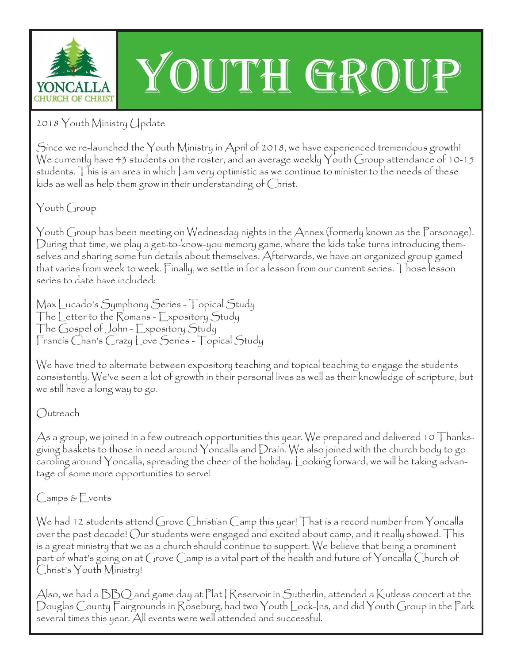

## YOUTH GROUP

2018 Youth Ministry Update

Since we re-launched the Youth Ministry in April of 2018, we have experienced tremendous growth! We currently have 43 students on the roster, and an average weekly Youth Group attendance of 10-15 students. This is an area in which | am very optimistic as we continue to minister to the needs of these kids as well as help them grow in their understanding of Christ.

Youth Group

Youth Group has been meeting on Wednesday nights in the Annex (formerly known as the Parsonage). During that time, we play a get-to-know-you memory game, where the kids take turns introducing themselves and sharing some fun details about themselves. Afterwards, we have an organized group gamed that varies from week to week. Finally, we settle in for a lesson from our current series. Those lesson series to date have included:

Max Lucado's Symphony Series - Topical Study The Letter to the Romans - Expository Study The Gospel of John - Expository Study Francis Chan's Crazy Love Series - Topical Study

We have tried to alternate between expository teaching and topical teaching to engage the students consistently. We've seen a lot of growth in their personal lives as well as their knowledge of scripture, but we still have a long way to go.

Outreach

As a group, we joined in a few outreach opportunities this year. We prepared and delivered 10 Thanksgiving baskets to those in need around Yoncalla and Drain. We also joined with the church body to go caroling around Yoncalla, spreading the cheer of the holiday. Looking forward, we will be taking advantage of some more opportunities to serve!

Camps & Events

We had 12 students attend Grove Christian Camp this year! That is a record number from Yoncalla over the past decade! Our students were engaged and excited about camp, and it really showed. This is a great ministry that we as a church should continue to support. We believe that being a prominent part of what's going on at Grove Camp is a vital part of the health and future of Yoncalla Church of Christ's Youth Ministry!

Also, we had a  $\rm{BBO}$  and game day at Plat | Reservoir in Sutherlin, attended a Kutless concert at the Douglas County Fairgrounds in Roseburg, had two Youth Lock-Ins, and did Youth Group in the Park several times this year. All events were well attended and successful.